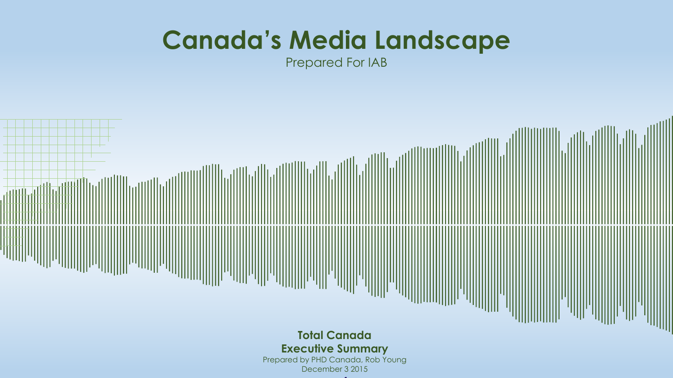# **Canada's Media Landscape**

Prepared For IAB

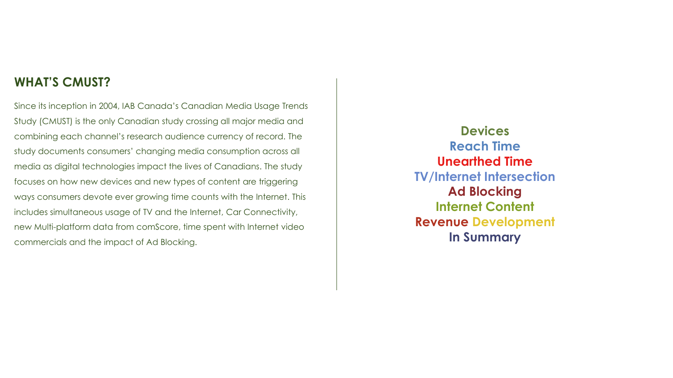### **WHAT'S CMUST?**

Since its inception in 2004, IAB Canada's Canadian Media Usage Trends Study (CMUST) is the only Canadian study crossing all major media and combining each channel's research audience currency of record. The study documents consumers' changing media consumption across all media as digital technologies impact the lives of Canadians. The study focuses on how new devices and new types of content are triggering ways consumers devote ever growing time counts with the Internet. This includes simultaneous usage of TV and the Internet, Car Connectivity, new Multi-platform data from comScore, time spent with Internet video commercials and the impact of Ad Blocking.

**Devices Reach Time Unearthed Time TV/Internet Intersection Ad Blocking Internet Content Revenue Development In Summary**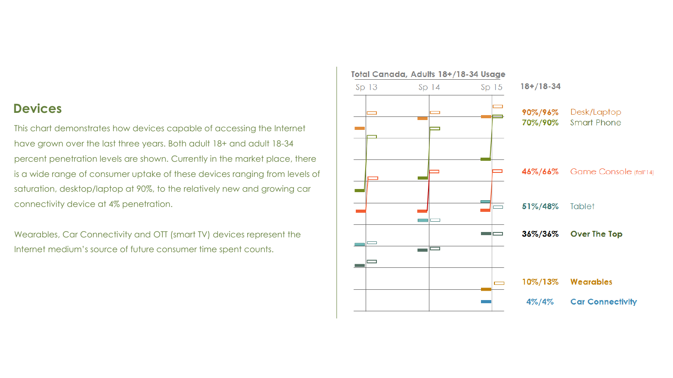### **Devices**

This chart demonstrates how devices capable of accessing the Internet have grown over the last three years. Both adult 18+ and adult 18-34 percent penetration levels are shown. Currently in the market place, there is a wide range of consumer uptake of these devices ranging from levels of saturation, desktop/laptop at 90%, to the relatively new and growing car connectivity device at 4% penetration.

Wearables, Car Connectivity and OTT (smart TV) devices represent the Internet medium's source of future consumer time spent counts.

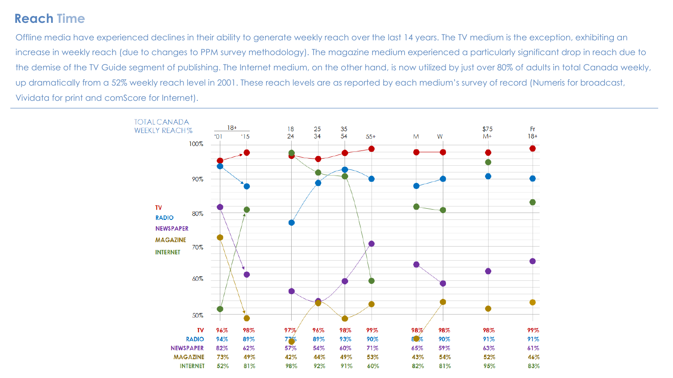# **Reach Time**

Offline media have experienced declines in their ability to generate weekly reach over the last 14 years. The TV medium is the exception, exhibiting an increase in weekly reach (due to changes to PPM survey methodology). The magazine medium experienced a particularly significant drop in reach due to the demise of the TV Guide segment of publishing. The Internet medium, on the other hand, is now utilized by just over 80% of adults in total Canada weekly, up dramatically from a 52% weekly reach level in 2001. These reach levels are as reported by each medium's survey of record (Numeris for broadcast, Vividata for print and comScore for Internet).

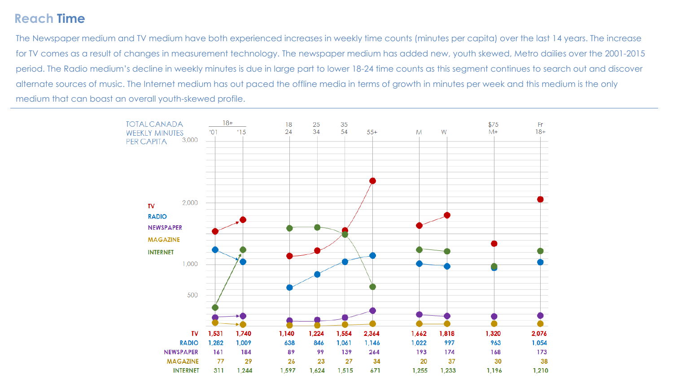# **Reach Time**

The Newspaper medium and TV medium have both experienced increases in weekly time counts (minutes per capita) over the last 14 years. The increase for TV comes as a result of changes in measurement technology. The newspaper medium has added new, youth skewed, Metro dailies over the 2001-2015 period. The Radio medium's decline in weekly minutes is due in large part to lower 18-24 time counts as this segment continues to search out and discover alternate sources of music. The Internet medium has out paced the offline media in terms of growth in minutes per week and this medium is the only medium that can boast an overall youth-skewed profile.

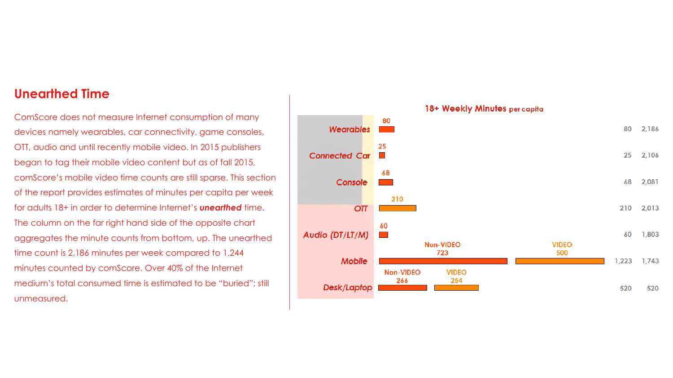### **Unearthed Time**

ComScore does not measure Internet consumption of many devices namely wearables, car connectivity, game consoles, OTT, audio and until recently mobile video. In 2015 publishers began to tag their mobile video content but as of fall 2015, comScore's mobile video time counts are still sparse. This section of the report provides estimates of minutes per capita per week for adults 18+ in order to determine Internet's *unearthed* time. The column on the far right hand side of the opposite chart aggregates the minute counts from bottom, up. The unearthed time count is 2,186 minutes per week compared to 1,244 minutes counted by comScore. Over 40% of the Internet medium's total consumed time is estimated to be "buried"; still unmeasured.

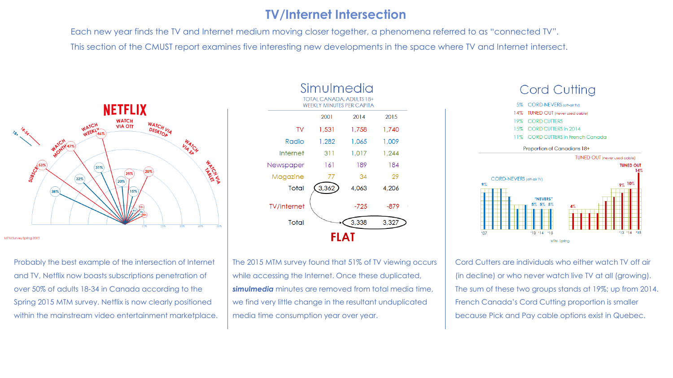## **TV/Internet Intersection**

Each new year finds the TV and Internet medium moving closer together, a phenomena referred to as "connected TV". This section of the CMUST report examines five interesting new developments in the space where TV and Internet intersect.



#### MTM Survey Spring 2015

Probably the best example of the intersection of Internet and TV, Netflix now boasts subscriptions penetration of over 50% of adults 18-34 in Canada according to the Spring 2015 MTM survey. Netflix is now clearly positioned within the mainstream video entertainment marketplace.

| Simulmedia                                                   |       |        |       |  |  |  |  |  |
|--------------------------------------------------------------|-------|--------|-------|--|--|--|--|--|
| TOTAL CANADA, ADULTS 18+<br><b>WEEKLY MINUTES PER CAPITA</b> |       |        |       |  |  |  |  |  |
|                                                              | 2001  | 2014   | 2015  |  |  |  |  |  |
| TV                                                           | 1,531 | 1,758  | 1,740 |  |  |  |  |  |
| Radio                                                        | 1.282 | 1,065  | 1,009 |  |  |  |  |  |
| Internet                                                     | 311   | 1.017  | 1.244 |  |  |  |  |  |
| Newspaper                                                    | 161   | 189    | 184   |  |  |  |  |  |
| Magazine                                                     | 77    | 34     | 29    |  |  |  |  |  |
| Total                                                        | 3,362 | 4,063  | 4,206 |  |  |  |  |  |
| <b>TV/Internet</b>                                           |       | $-725$ | -879  |  |  |  |  |  |
| Total                                                        |       | 3,338  | 3,327 |  |  |  |  |  |
| FLAT                                                         |       |        |       |  |  |  |  |  |

The 2015 MTM survey found that 51% of TV viewing occurs while accessing the Internet. Once these duplicated, *simulmedia* minutes are removed from total media time, we find very little change in the resultant unduplicated media time consumption year over year.



Cord Cutters are individuals who either watch TV off air (in decline) or who never watch live TV at all (growing). The sum of these two groups stands at 19%; up from 2014. French Canada's Cord Cutting proportion is smaller because Pick and Pay cable options exist in Quebec.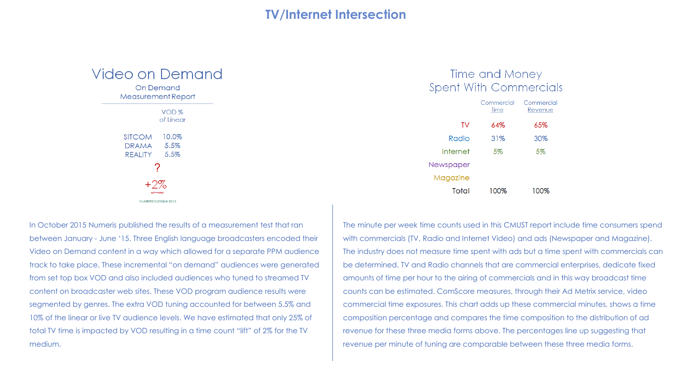### **TV/Internet Intersection**



In October 2015 Numeris published the results of a measurement test that ran between January - June '15. Three English language broadcasters encoded their Video on Demand content in a way which allowed for a separate PPM audience track to take place. These incremental "on demand" audiences were generated from set top box VOD and also included audiences who tuned to streamed TV content on broadcaster web sites. These VOD program audience results were segmented by genres. The extra VOD tuning accounted for between 5.5% and 10% of the linear or live TV audience levels. We have estimated that only 25% of total TV time is impacted by VOD resulting in a time count "lift" of 2% for the TV medium.

### Time and Money **Spent With Commercials**

|           | Commercial<br>Time | Commercial<br>Revenue |
|-----------|--------------------|-----------------------|
| TV        | 64%                | 65%                   |
| Radio     | 31%                | 30%                   |
| Internet  | 5%                 | 5%                    |
| Newspaper |                    |                       |
| Magazine  |                    |                       |
| Total     | 100%               | 100%                  |

The minute per week time counts used in this CMUST report include time consumers spend with commercials (TV, Radio and Internet Video) and ads (Newspaper and Magazine). The industry does not measure time spent with ads but a time spent with commercials can be determined. TV and Radio channels that are commercial enterprises, dedicate fixed amounts of time per hour to the airing of commercials and in this way broadcast time counts can be estimated. ComScore measures, through their Ad Metrix service, video commercial time exposures. This chart adds up these commercial minutes, shows a time composition percentage and compares the time composition to the distribution of ad revenue for these three media forms above. The percentages line up suggesting that revenue per minute of tuning are comparable between these three media forms.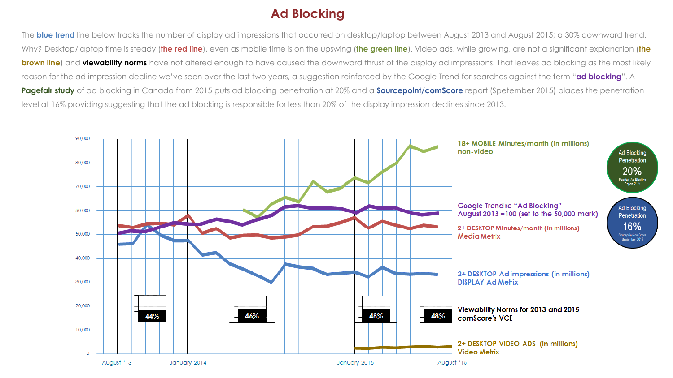# **Ad Blocking**

The **blue trend** line below tracks the number of display ad impressions that occurred on desktop/laptop between August 2013 and August 2015; a 30% downward trend. Why? Desktop/laptop time is steady (**the red line**), even as mobile time is on the upswing (**the green line**). Video ads, while growing, are not a significant explanation (**the brown line**) and **viewability norms** have not altered enough to have caused the downward thrust of the display ad impressions. That leaves ad blocking as the most likely reason for the ad impression decline we've seen over the last two years, a suggestion reinforced by the Google Trend for searches against the term "**ad blocking**". A **Pagefair study** of ad blocking in Canada from 2015 puts ad blocking penetration at 20% and a **Sourcepoint/comScore** report (Spetember 2015) places the penetration level at 16% providing suggesting that the ad blocking is responsible for less than 20% of the display impression declines since 2013.

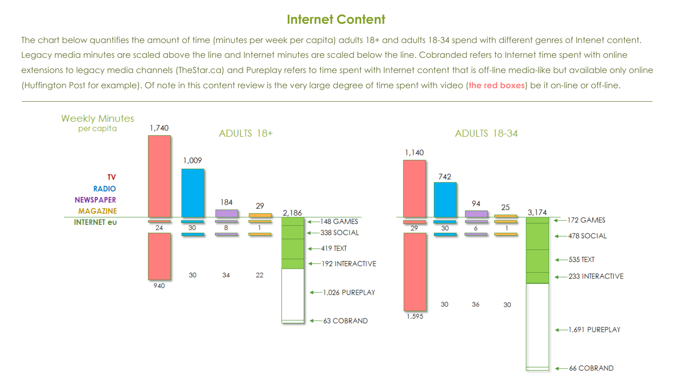# **Internet Content**

The chart below quantifies the amount of time (minutes per week per capita) adults 18+ and adults 18-34 spend with different genres of Intenet content. Legacy media minutes are scaled above the line and Internet minutes are scaled below the line. Cobranded refers to Internet time spent with online extensions to legacy media channels (TheStar.ca) and Pureplay refers to time spent with Internet content that is off-line media-like but available only online (Huffington Post for example). Of note in this content review is the very large degree of time spent with video (**the red boxes**) be it on-line or off-line.

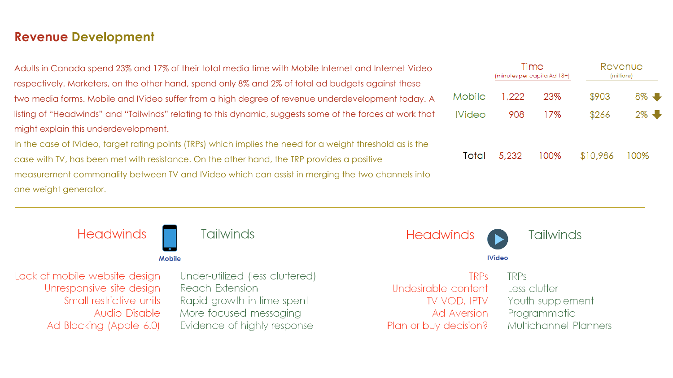### **Revenue Development**

Adults in Canada spend 23% and 17% of their total media time with Mobile Internet and Internet Video respectively. Marketers, on the other hand, spend only 8% and 2% of total ad budgets against these two media forms. Mobile and IVideo suffer from a high degree of revenue underdevelopment today. A listing of "Headwinds" and "Tailwinds" relating to this dynamic, suggests some of the forces at work that might explain this underdevelopment.

In the case of IVideo, target rating points (TRPs) which implies the need for a weight threshold as is the case with TV, has been met with resistance. On the other hand, the TRP provides a positive measurement commonality between TV and IVideo which can assist in merging the two channels into one weight generator.



|               | Time<br>(minutes per capita Ad 18+) |      | Revenue<br>(millions) |       |
|---------------|-------------------------------------|------|-----------------------|-------|
| Mobile        | 1,222                               | 23%  | \$903                 | $8\%$ |
| <b>IVideo</b> | 908                                 | 17%  | \$266                 | $2\%$ |
| Total         | 5,232                               | 100% | \$10,986              | 100%  |